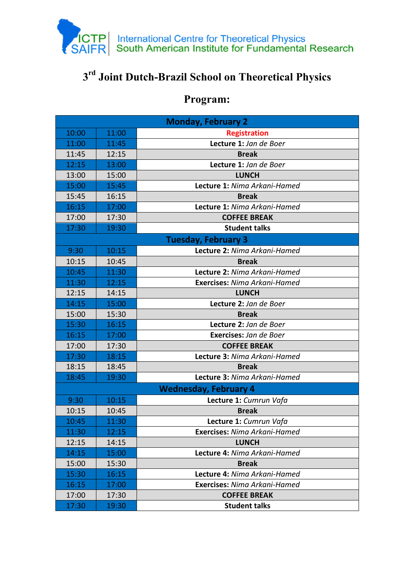

## **3 rd Joint Dutch-Brazil School on Theoretical Physics**

## **Program:**

| <b>Monday, February 2</b>    |       |                                     |  |  |
|------------------------------|-------|-------------------------------------|--|--|
| 10:00                        | 11:00 | <b>Registration</b>                 |  |  |
| 11:00                        | 11:45 | Lecture 1: Jan de Boer              |  |  |
| 11:45                        | 12:15 | <b>Break</b>                        |  |  |
| 12:15                        | 13:00 | Lecture 1: Jan de Boer              |  |  |
| 13:00                        | 15:00 | <b>LUNCH</b>                        |  |  |
| 15:00                        | 15:45 | <b>Lecture 1: Nima Arkani-Hamed</b> |  |  |
| 15:45                        | 16:15 | <b>Break</b>                        |  |  |
| 16:15                        | 17:00 | Lecture 1: Nima Arkani-Hamed        |  |  |
| 17:00                        | 17:30 | <b>COFFEE BREAK</b>                 |  |  |
| 17:30                        | 19:30 | <b>Student talks</b>                |  |  |
| <b>Tuesday, February 3</b>   |       |                                     |  |  |
| 9:30                         | 10:15 | Lecture 2: Nima Arkani-Hamed        |  |  |
| 10:15                        | 10:45 | <b>Break</b>                        |  |  |
| 10:45                        | 11:30 | Lecture 2: Nima Arkani-Hamed        |  |  |
| 11:30                        | 12:15 | <b>Exercises: Nima Arkani-Hamed</b> |  |  |
| 12:15                        | 14:15 | <b>LUNCH</b>                        |  |  |
| 14:15                        | 15:00 | Lecture 2: Jan de Boer              |  |  |
| 15:00                        | 15:30 | <b>Break</b>                        |  |  |
| 15:30                        | 16:15 | Lecture 2: Jan de Boer              |  |  |
| 16:15                        | 17:00 | Exercises: Jan de Boer              |  |  |
| 17:00                        | 17:30 | <b>COFFEE BREAK</b>                 |  |  |
| 17:30                        | 18:15 | Lecture 3: Nima Arkani-Hamed        |  |  |
| 18:15                        | 18:45 | <b>Break</b>                        |  |  |
| 18:45                        | 19:30 | Lecture 3: Nima Arkani-Hamed        |  |  |
| <b>Wednesday, February 4</b> |       |                                     |  |  |
| 9:30                         | 10:15 | Lecture 1: Cumrun Vafa              |  |  |
| 10:15                        | 10:45 | <b>Break</b>                        |  |  |
| 10:45                        | 11:30 | Lecture 1: Cumrun Vafa              |  |  |
| 11:30                        | 12:15 | <b>Exercises:</b> Nima Arkani-Hamed |  |  |
| 12:15                        | 14:15 | <b>LUNCH</b>                        |  |  |
| 14:15                        | 15:00 | Lecture 4: Nima Arkani-Hamed        |  |  |
| 15:00                        | 15:30 | <b>Break</b>                        |  |  |
| 15:30                        | 16:15 | Lecture 4: Nima Arkani-Hamed        |  |  |
| 16:15                        | 17:00 | <b>Exercises: Nima Arkani-Hamed</b> |  |  |
| 17:00                        | 17:30 | <b>COFFEE BREAK</b>                 |  |  |
| 17:30                        | 19:30 | <b>Student talks</b>                |  |  |